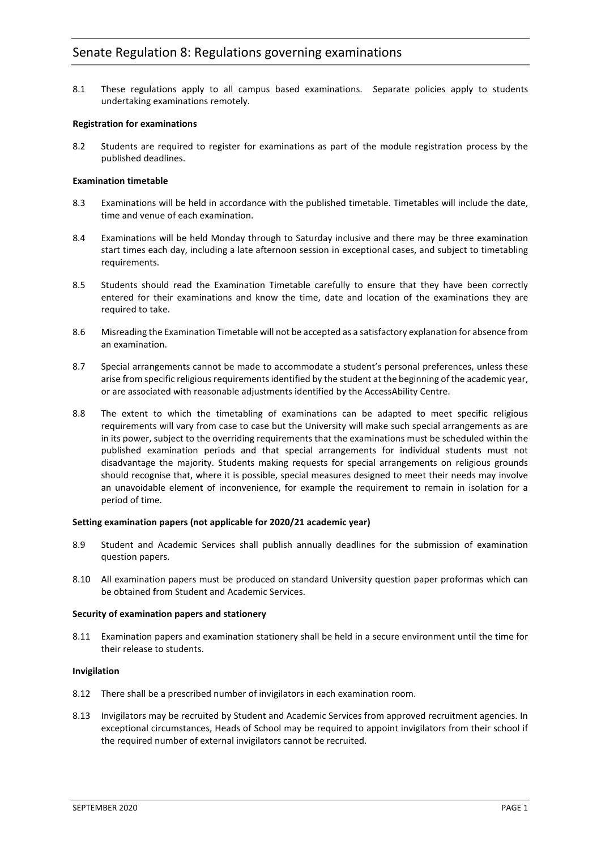8.1 These regulations apply to all campus based examinations. Separate policies apply to students undertaking examinations remotely.

# **Registration for examinations**

8.2 Students are required to register for examinations as part of the module registration process by the published deadlines.

# **Examination timetable**

- 8.3 Examinations will be held in accordance with the published timetable. Timetables will include the date, time and venue of each examination.
- 8.4 Examinations will be held Monday through to Saturday inclusive and there may be three examination start times each day, including a late afternoon session in exceptional cases, and subject to timetabling requirements.
- 8.5 Students should read the Examination Timetable carefully to ensure that they have been correctly entered for their examinations and know the time, date and location of the examinations they are required to take.
- 8.6 Misreading the Examination Timetable will not be accepted as a satisfactory explanation for absence from an examination.
- 8.7 Special arrangements cannot be made to accommodate a student's personal preferences, unless these arise from specific religious requirements identified by the student at the beginning of the academic year, or are associated with reasonable adjustments identified by the AccessAbility Centre.
- 8.8 The extent to which the timetabling of examinations can be adapted to meet specific religious requirements will vary from case to case but the University will make such special arrangements as are in its power, subject to the overriding requirements that the examinations must be scheduled within the published examination periods and that special arrangements for individual students must not disadvantage the majority. Students making requests for special arrangements on religious grounds should recognise that, where it is possible, special measures designed to meet their needs may involve an unavoidable element of inconvenience, for example the requirement to remain in isolation for a period of time.

## **Setting examination papers (not applicable for 2020/21 academic year)**

- 8.9 Student and Academic Services shall publish annually deadlines for the submission of examination question papers.
- 8.10 All examination papers must be produced on standard University question paper proformas which can be obtained from Student and Academic Services.

## **Security of examination papers and stationery**

8.11 Examination papers and examination stationery shall be held in a secure environment until the time for their release to students.

## **Invigilation**

- 8.12 There shall be a prescribed number of invigilators in each examination room.
- 8.13 Invigilators may be recruited by Student and Academic Services from approved recruitment agencies. In exceptional circumstances, Heads of School may be required to appoint invigilators from their school if the required number of external invigilators cannot be recruited.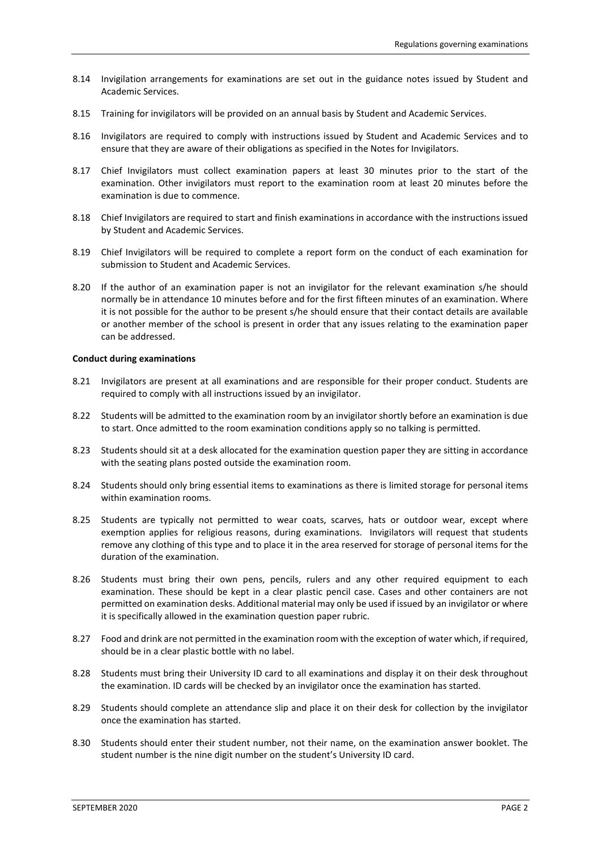- 8.14 Invigilation arrangements for examinations are set out in the guidance notes issued by Student and Academic Services.
- 8.15 Training for invigilators will be provided on an annual basis by Student and Academic Services.
- 8.16 Invigilators are required to comply with instructions issued by Student and Academic Services and to ensure that they are aware of their obligations as specified in the Notes for Invigilators.
- 8.17 Chief Invigilators must collect examination papers at least 30 minutes prior to the start of the examination. Other invigilators must report to the examination room at least 20 minutes before the examination is due to commence.
- 8.18 Chief Invigilators are required to start and finish examinations in accordance with the instructions issued by Student and Academic Services.
- 8.19 Chief Invigilators will be required to complete a report form on the conduct of each examination for submission to Student and Academic Services.
- 8.20 If the author of an examination paper is not an invigilator for the relevant examination s/he should normally be in attendance 10 minutes before and for the first fifteen minutes of an examination. Where it is not possible for the author to be present s/he should ensure that their contact details are available or another member of the school is present in order that any issues relating to the examination paper can be addressed.

## **Conduct during examinations**

- 8.21 Invigilators are present at all examinations and are responsible for their proper conduct. Students are required to comply with all instructions issued by an invigilator.
- 8.22 Students will be admitted to the examination room by an invigilator shortly before an examination is due to start. Once admitted to the room examination conditions apply so no talking is permitted.
- 8.23 Students should sit at a desk allocated for the examination question paper they are sitting in accordance with the seating plans posted outside the examination room.
- 8.24 Students should only bring essential items to examinations as there is limited storage for personal items within examination rooms.
- 8.25 Students are typically not permitted to wear coats, scarves, hats or outdoor wear, except where exemption applies for religious reasons, during examinations. Invigilators will request that students remove any clothing of this type and to place it in the area reserved for storage of personal items for the duration of the examination.
- 8.26 Students must bring their own pens, pencils, rulers and any other required equipment to each examination. These should be kept in a clear plastic pencil case. Cases and other containers are not permitted on examination desks. Additional material may only be used if issued by an invigilator or where it is specifically allowed in the examination question paper rubric.
- 8.27 Food and drink are not permitted in the examination room with the exception of water which, if required, should be in a clear plastic bottle with no label.
- 8.28 Students must bring their University ID card to all examinations and display it on their desk throughout the examination. ID cards will be checked by an invigilator once the examination has started.
- 8.29 Students should complete an attendance slip and place it on their desk for collection by the invigilator once the examination has started.
- 8.30 Students should enter their student number, not their name, on the examination answer booklet. The student number is the nine digit number on the student's University ID card.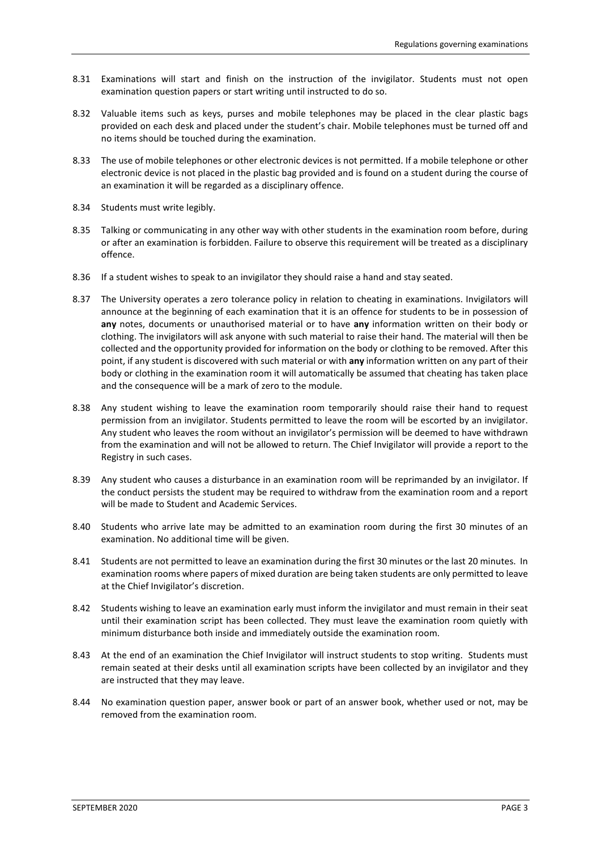- 8.31 Examinations will start and finish on the instruction of the invigilator. Students must not open examination question papers or start writing until instructed to do so.
- 8.32 Valuable items such as keys, purses and mobile telephones may be placed in the clear plastic bags provided on each desk and placed under the student's chair. Mobile telephones must be turned off and no items should be touched during the examination.
- 8.33 The use of mobile telephones or other electronic devices is not permitted. If a mobile telephone or other electronic device is not placed in the plastic bag provided and is found on a student during the course of an examination it will be regarded as a disciplinary offence.
- 8.34 Students must write legibly.
- 8.35 Talking or communicating in any other way with other students in the examination room before, during or after an examination is forbidden. Failure to observe this requirement will be treated as a disciplinary offence.
- 8.36 If a student wishes to speak to an invigilator they should raise a hand and stay seated.
- 8.37 The University operates a zero tolerance policy in relation to cheating in examinations. Invigilators will announce at the beginning of each examination that it is an offence for students to be in possession of **any** notes, documents or unauthorised material or to have **any** information written on their body or clothing. The invigilators will ask anyone with such material to raise their hand. The material will then be collected and the opportunity provided for information on the body or clothing to be removed. After this point, if any student is discovered with such material or with **any** information written on any part of their body or clothing in the examination room it will automatically be assumed that cheating has taken place and the consequence will be a mark of zero to the module.
- 8.38 Any student wishing to leave the examination room temporarily should raise their hand to request permission from an invigilator. Students permitted to leave the room will be escorted by an invigilator. Any student who leaves the room without an invigilator's permission will be deemed to have withdrawn from the examination and will not be allowed to return. The Chief Invigilator will provide a report to the Registry in such cases.
- 8.39 Any student who causes a disturbance in an examination room will be reprimanded by an invigilator. If the conduct persists the student may be required to withdraw from the examination room and a report will be made to Student and Academic Services.
- 8.40 Students who arrive late may be admitted to an examination room during the first 30 minutes of an examination. No additional time will be given.
- 8.41 Students are not permitted to leave an examination during the first 30 minutes or the last 20 minutes. In examination rooms where papers of mixed duration are being taken students are only permitted to leave at the Chief Invigilator's discretion.
- 8.42 Students wishing to leave an examination early must inform the invigilator and must remain in their seat until their examination script has been collected. They must leave the examination room quietly with minimum disturbance both inside and immediately outside the examination room.
- 8.43 At the end of an examination the Chief Invigilator will instruct students to stop writing. Students must remain seated at their desks until all examination scripts have been collected by an invigilator and they are instructed that they may leave.
- 8.44 No examination question paper, answer book or part of an answer book, whether used or not, may be removed from the examination room.